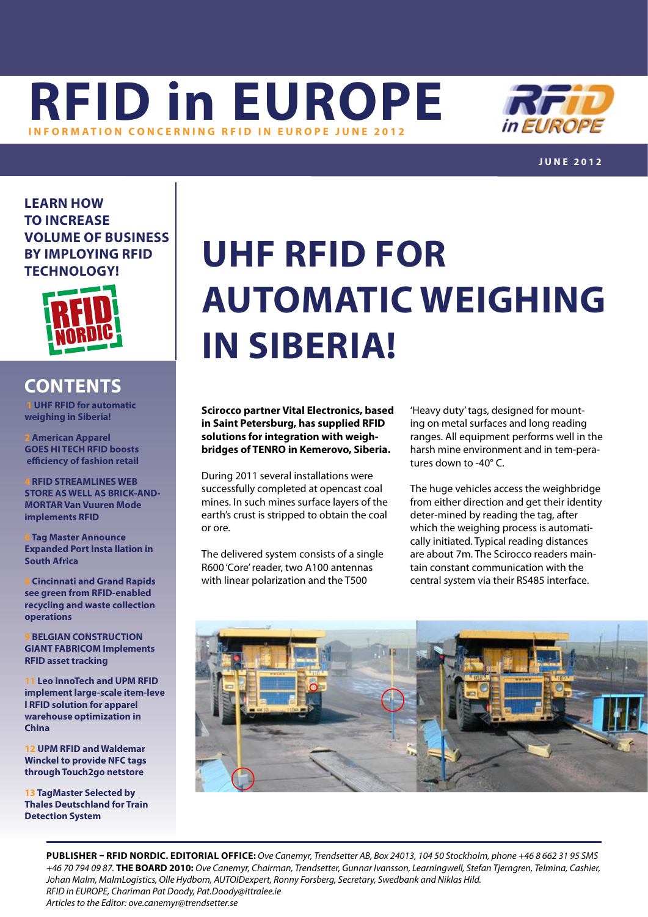



**j une 2012**

**Learn how to increase volume of business by imploying RFID technology!**



### **contents**

 **1 UHF RFID for automatic weighing in Siberia!**

**2 [American Apparel](#page-1-0) [GOES HI TECH RFID boosts](#page-1-0)   [efficiency of fashion retail](#page-1-0)**

**[4 RFID STREAMLINES WEB](#page-3-0)  [STORE AS WELL AS BRICK-AND-](#page-3-0)[MORTAR Van Vuuren Mode](#page-3-0)  [implements RFID](#page-3-0)**

**6 [Tag Master Announce](#page-5-0) [Expanded Port Insta llation in](#page-5-0)  [South Africa](#page-5-0)**

**8 [Cincinnati and Grand Rapids](#page-7-0)  [see green from RFID-enabled](#page-7-0)  [recycling and waste collection](#page-7-0)  [operations](#page-7-0)**

**[9 BELGIAN CONSTRUCTION](#page-8-0)  [GIANT FABRICOM Implements](#page-8-0)  [RFID asset tracking](#page-8-0)**

**11 [Leo InnoTech and UPM RFID](#page-10-0)  [implement large-scale item-leve](#page-10-0)  [l RFID solution for apparel](#page-10-0) [warehouse optimization in](#page-10-0)  [China](#page-10-0)**

**[12 UPM RFID and Waldemar](#page-11-0)  [Winckel to provide NFC tags](#page-11-0) [through Touch2go netstore](#page-11-0)**

**[13 TagMaster Selected by](#page-12-0) [Thales Deutschland for Train](#page-12-0)  [Detection System](#page-12-0)**

# **UHF RFID for automatic weighing in Siberia!**

**Scirocco partner Vital Electronics, based in Saint Petersburg, has supplied RFID solutions for integration with weighbridges of TENRO in Kemerovo, Siberia.** 

During 2011 several installations were successfully completed at opencast coal mines. In such mines surface layers of the earth's crust is stripped to obtain the coal or ore.

The delivered system consists of a single R600 'Core' reader, two A100 antennas with linear polarization and the T500

'Heavy duty' tags, designed for mounting on metal surfaces and long reading ranges. All equipment performs well in the harsh mine environment and in tem-peratures down to -40° C.

The huge vehicles access the weighbridge from either direction and get their identity deter-mined by reading the tag, after which the weighing process is automatically initiated. Typical reading distances are about 7m. The Scirocco readers maintain constant communication with the central system via their RS485 interface.



**PUBLISHER – RFID NORDIC. EDITORIAL OFFICE:** *Ove Canemyr, Trendsetter AB, Box 24013, 104 50 Stockholm, phone +46 8 662 31 95 SMS +46 70 794 09 87.* **THE BOARD 2010:** *Ove Canemyr, Chairman, Trendsetter, Gunnar Ivansson, Learningwell, Stefan Tjerngren, Telmina, Cashier, Johan Malm, MalmLogistics, Olle Hydbom, AUTOIDexpert, Ronny Forsberg, Secretary, Swedbank and Niklas Hild. RFID in EUROPE, Chariman Pat Doody, [Pat.Doody@ittralee.ie](mailto:pat.doody@ittralee.ie ) Articles to the Editor: ove.canemyr@trendsetter.se*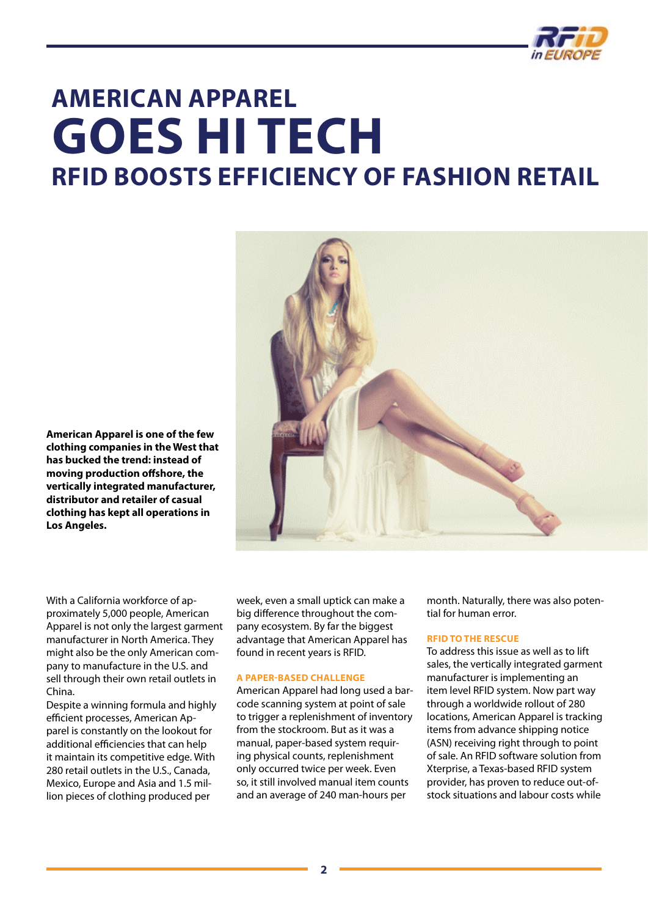

## <span id="page-1-0"></span>**American Apparel GOES HI TECH RFID boosts efficiency of fashion retail**



**American Apparel is one of the few clothing companies in the West that has bucked the trend: instead of moving production offshore, the vertically integrated manufacturer, distributor and retailer of casual clothing has kept all operations in Los Angeles.** 

With a California workforce of approximately 5,000 people, American Apparel is not only the largest garment manufacturer in North America. They might also be the only American company to manufacture in the U.S. and sell through their own retail outlets in China.

Despite a winning formula and highly efficient processes, American Apparel is constantly on the lookout for additional efficiencies that can help it maintain its competitive edge. With 280 retail outlets in the U.S., Canada, Mexico, Europe and Asia and 1.5 million pieces of clothing produced per

week, even a small uptick can make a big difference throughout the company ecosystem. By far the biggest advantage that American Apparel has found in recent years is RFID.

#### **A PAPER-BASED CHALLENGE**

American Apparel had long used a barcode scanning system at point of sale to trigger a replenishment of inventory from the stockroom. But as it was a manual, paper-based system requiring physical counts, replenishment only occurred twice per week. Even so, it still involved manual item counts and an average of 240 man-hours per

month. Naturally, there was also potential for human error.

### **RFID TO THE RESCUE**

To address this issue as well as to lift sales, the vertically integrated garment manufacturer is implementing an item level RFID system. Now part way through a worldwide rollout of 280 locations, American Apparel is tracking items from advance shipping notice (ASN) receiving right through to point of sale. An RFID software solution from Xterprise, a Texas-based RFID system provider, has proven to reduce out-ofstock situations and labour costs while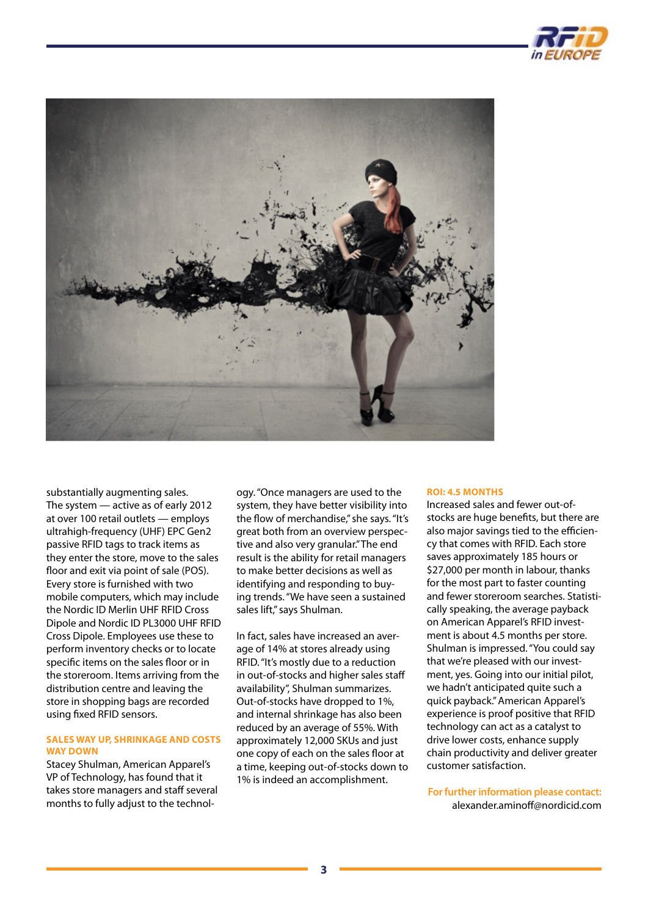



substantially augmenting sales. The system — active as of early 2012 at over 100 retail outlets — employs ultrahigh-frequency (UHF) EPC Gen2 passive RFID tags to track items as they enter the store, move to the sales floor and exit via point of sale (POS). Every store is furnished with two mobile computers, which may include the Nordic ID Merlin UHF RFID Cross Dipole and Nordic ID PL3000 UHF RFID Cross Dipole. Employees use these to perform inventory checks or to locate specific items on the sales floor or in the storeroom. Items arriving from the distribution centre and leaving the store in shopping bags are recorded using fixed RFID sensors.

### **SALES WAY UP, SHRINKAGE AND COSTS WAY DOWN**

Stacey Shulman, American Apparel's VP of Technology, has found that it takes store managers and staff several months to fully adjust to the technol-

ogy. "Once managers are used to the system, they have better visibility into the flow of merchandise," she says. "It's great both from an overview perspective and also very granular." The end result is the ability for retail managers to make better decisions as well as identifying and responding to buying trends. "We have seen a sustained sales lift," says Shulman.

In fact, sales have increased an average of 14% at stores already using RFID. "It's mostly due to a reduction in out-of-stocks and higher sales staff availability", Shulman summarizes. Out-of-stocks have dropped to 1%, and internal shrinkage has also been reduced by an average of 55%. With approximately 12,000 SKUs and just one copy of each on the sales floor at a time, keeping out-of-stocks down to 1% is indeed an accomplishment.

### **ROI: 4.5 MONTHS**

Increased sales and fewer out-ofstocks are huge benefits, but there are also major savings tied to the efficiency that comes with RFID. Each store saves approximately 185 hours or \$27,000 per month in labour, thanks for the most part to faster counting and fewer storeroom searches. Statistically speaking, the average payback on American Apparel's RFID investment is about 4.5 months per store. Shulman is impressed. "You could say that we're pleased with our investment, yes. Going into our initial pilot, we hadn't anticipated quite such a quick payback." American Apparel's experience is proof positive that RFID technology can act as a catalyst to drive lower costs, enhance supply chain productivity and deliver greater customer satisfaction.

**For further information please contact:**  [alexander.aminoff@nordicid.com](mailto:alexander.aminoff@nordicid.com)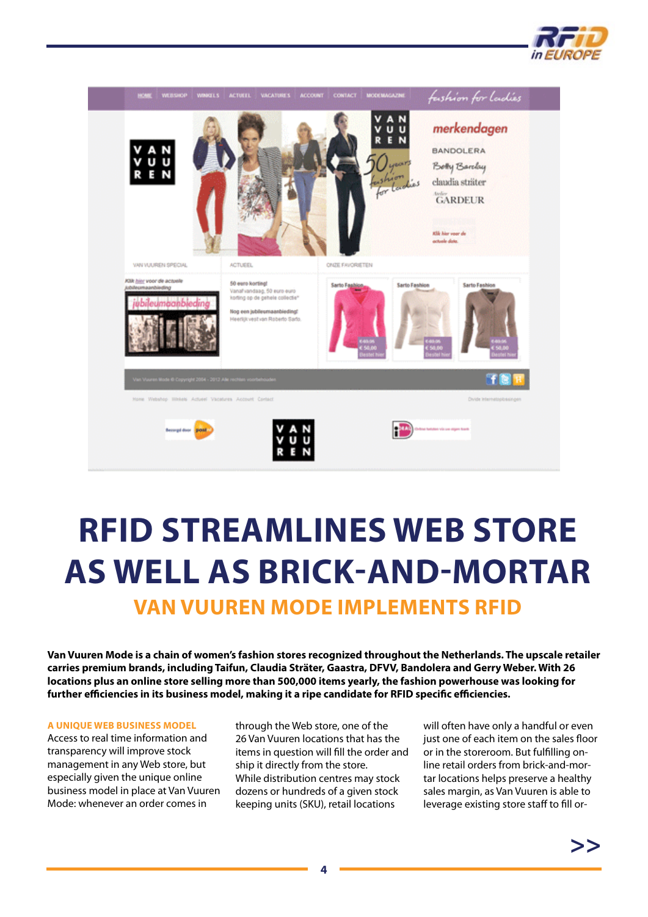

<span id="page-3-0"></span>

## **RFID STREAMLINES WEB STORE AS WELL AS BRICK-AND-MORTAR Van Vuuren Mode implements RFID**

**Van Vuuren Mode is a chain of women's fashion stores recognized throughout the Netherlands. The upscale retailer carries premium brands, including Taifun, Claudia Sträter, Gaastra, DFVV, Bandolera and Gerry Weber. With 26 locations plus an online store selling more than 500,000 items yearly, the fashion powerhouse was looking for further efficiencies in its business model, making it a ripe candidate for RFID specific efficiencies.**

### **A UNIQUE WEB BUSINESS MODEL**

Access to real time information and transparency will improve stock management in any Web store, but especially given the unique online business model in place at Van Vuuren Mode: whenever an order comes in

through the Web store, one of the 26 Van Vuuren locations that has the items in question will fill the order and ship it directly from the store. While distribution centres may stock dozens or hundreds of a given stock keeping units (SKU), retail locations

will often have only a handful or even just one of each item on the sales floor or in the storeroom. But fulfilling online retail orders from brick-and-mortar locations helps preserve a healthy sales margin, as Van Vuuren is able to leverage existing store staff to fill or-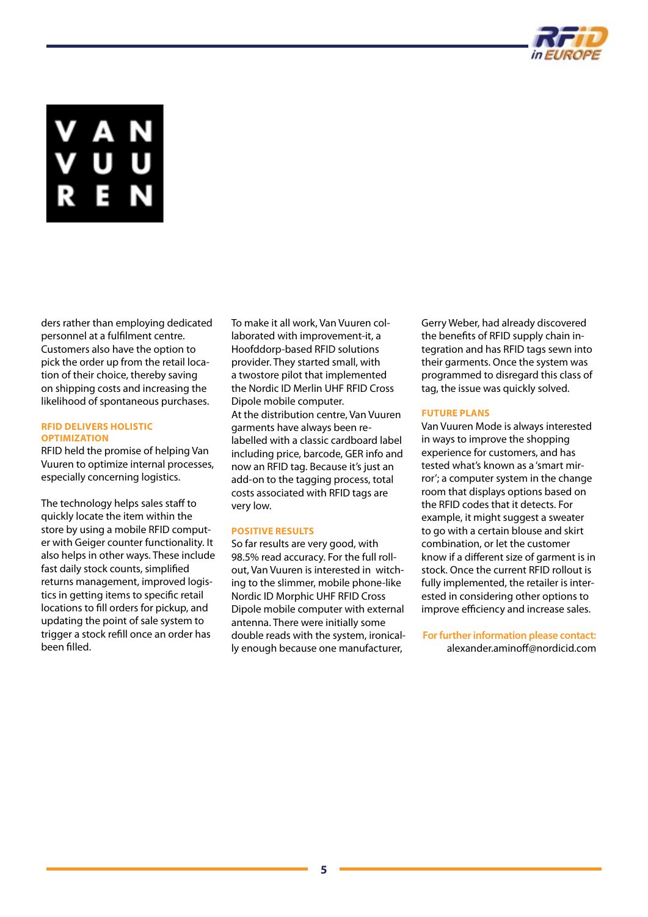

ders rather than employing dedicated personnel at a fulfilment centre. Customers also have the option to pick the order up from the retail location of their choice, thereby saving on shipping costs and increasing the likelihood of spontaneous purchases.

### **RFID DELIVERS HOLISTIC OPTIMIZATION**

RFID held the promise of helping Van Vuuren to optimize internal processes, especially concerning logistics.

The technology helps sales staff to quickly locate the item within the store by using a mobile RFID computer with Geiger counter functionality. It also helps in other ways. These include fast daily stock counts, simplified returns management, improved logistics in getting items to specific retail locations to fill orders for pickup, and updating the point of sale system to trigger a stock refill once an order has been filled.

To make it all work, Van Vuuren collaborated with improvement-it, a Hoofddorp-based RFID solutions provider. They started small, with a twostore pilot that implemented the Nordic ID Merlin UHF RFID Cross Dipole mobile computer. At the distribution centre, Van Vuuren garments have always been relabelled with a classic cardboard label including price, barcode, GER info and now an RFID tag. Because it's just an add-on to the tagging process, total costs associated with RFID tags are very low.

### **POSITIVE RESULTS**

So far results are very good, with 98.5% read accuracy. For the full rollout, Van Vuuren is interested in witching to the slimmer, mobile phone-like Nordic ID Morphic UHF RFID Cross Dipole mobile computer with external antenna. There were initially some double reads with the system, ironically enough because one manufacturer,

Gerry Weber, had already discovered the benefits of RFID supply chain integration and has RFID tags sewn into their garments. Once the system was programmed to disregard this class of tag, the issue was quickly solved.

### **FUTURE PLANS**

Van Vuuren Mode is always interested in ways to improve the shopping experience for customers, and has tested what's known as a 'smart mirror'; a computer system in the change room that displays options based on the RFID codes that it detects. For example, it might suggest a sweater to go with a certain blouse and skirt combination, or let the customer know if a different size of garment is in stock. Once the current RFID rollout is fully implemented, the retailer is interested in considering other options to improve efficiency and increase sales.

**For further information please contact:**  [alexander.aminoff@nordicid.com](mailto:alexander.aminoff@nordicid.com)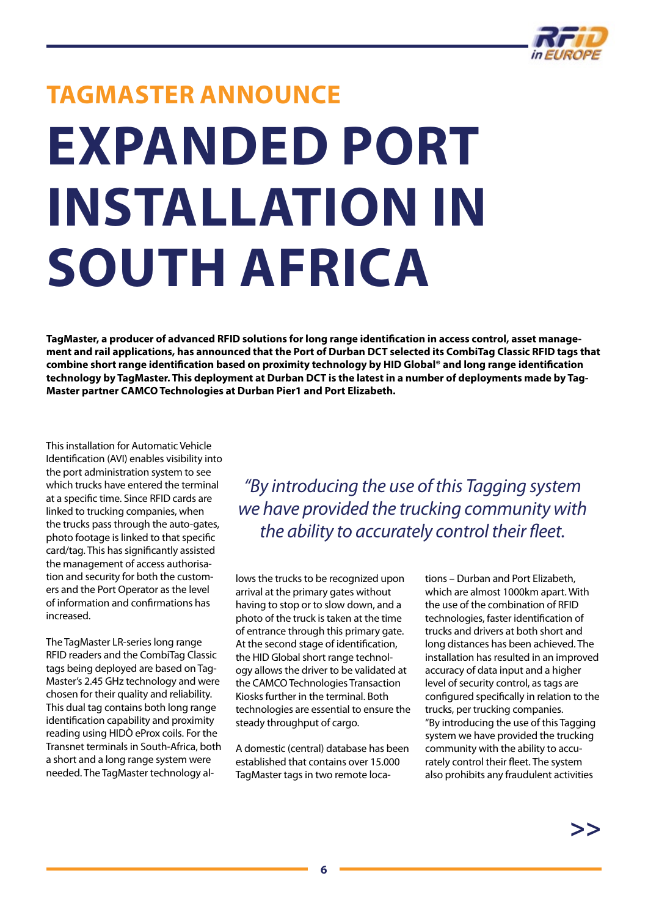

# <span id="page-5-0"></span>**TagMaster Announce Expanded Port Installation in South Africa**

**TagMaster, a producer of advanced RFID solutions for long range identification in access control, asset management and rail applications, has announced that the Port of Durban DCT selected its CombiTag Classic RFID tags that combine short range identification based on proximity technology by HID Global® and long range identification technology by TagMaster. This deployment at Durban DCT is the latest in a number of deployments made by Tag-Master partner CAMCO Technologies at Durban Pier1 and Port Elizabeth.**

This installation for Automatic Vehicle Identification (AVI) enables visibility into the port administration system to see which trucks have entered the terminal at a specific time. Since RFID cards are linked to trucking companies, when the trucks pass through the auto-gates, photo footage is linked to that specific card/tag. This has significantly assisted the management of access authorisation and security for both the customers and the Port Operator as the level of information and confirmations has increased.

The TagMaster LR-series long range RFID readers and the CombiTag Classic tags being deployed are based on Tag-Master's 2.45 GHz technology and were chosen for their quality and reliability. This dual tag contains both long range identification capability and proximity reading using HIDÒ eProx coils. For the Transnet terminals in South-Africa, both a short and a long range system were needed. The TagMaster technology al-

*"By introducing the use of this Tagging system we have provided the trucking community with the ability to accurately control their fleet.*

lows the trucks to be recognized upon arrival at the primary gates without having to stop or to slow down, and a photo of the truck is taken at the time of entrance through this primary gate. At the second stage of identification, the HID Global short range technology allows the driver to be validated at the CAMCO Technologies Transaction Kiosks further in the terminal. Both technologies are essential to ensure the steady throughput of cargo.

A domestic (central) database has been established that contains over 15.000 TagMaster tags in two remote locations – Durban and Port Elizabeth, which are almost 1000km apart. With the use of the combination of RFID technologies, faster identification of trucks and drivers at both short and long distances has been achieved. The installation has resulted in an improved accuracy of data input and a higher level of security control, as tags are configured specifically in relation to the trucks, per trucking companies. "By introducing the use of this Tagging system we have provided the trucking community with the ability to accurately control their fleet. The system also prohibits any fraudulent activities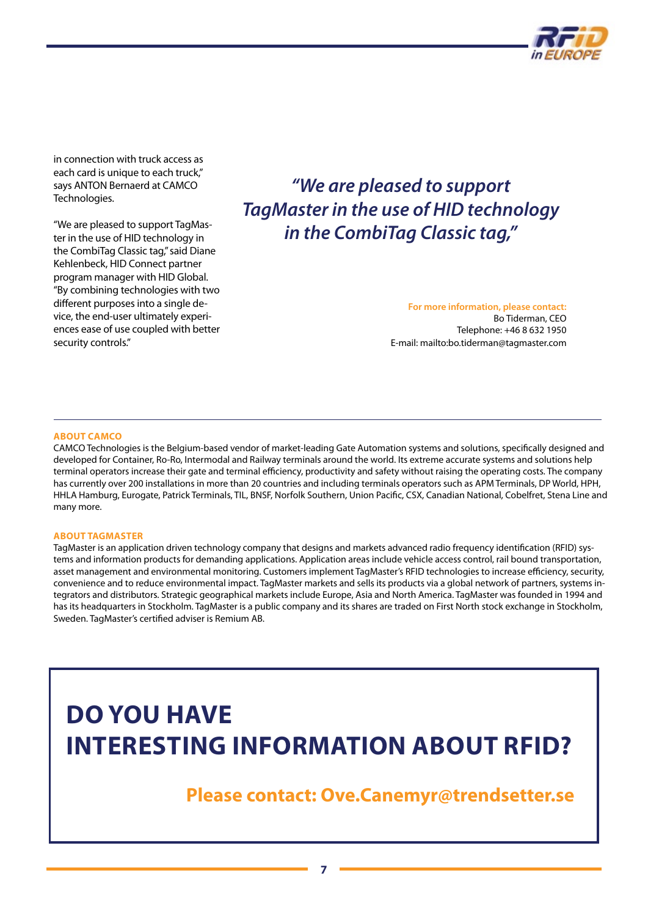

in connection with truck access as each card is unique to each truck," says ANTON Bernaerd at CAMCO Technologies.

"We are pleased to support TagMaster in the use of HID technology in the CombiTag Classic tag," said Diane Kehlenbeck, HID Connect partner program manager with HID Global. "By combining technologies with two different purposes into a single device, the end-user ultimately experiences ease of use coupled with better security controls."

### *"We are pleased to support TagMaster in the use of HID technology in the CombiTag Classic tag,"*

**For more information, please contact:** Bo Tiderman, CEO Telephone: +46 8 632 1950 E-mail:<mailto:bo.tiderman@tagmaster.com>

### **About CAMCO**

CAMCO Technologies is the Belgium-based vendor of market-leading Gate Automation systems and solutions, specifically designed and developed for Container, Ro-Ro, Intermodal and Railway terminals around the world. Its extreme accurate systems and solutions help terminal operators increase their gate and terminal efficiency, productivity and safety without raising the operating costs. The company has currently over 200 installations in more than 20 countries and including terminals operators such as APM Terminals, DP World, HPH, HHLA Hamburg, Eurogate, Patrick Terminals, TIL, BNSF, Norfolk Southern, Union Pacific, CSX, Canadian National, Cobelfret, Stena Line and many more.

#### **About TagMaster**

TagMaster is an application driven technology company that designs and markets advanced radio frequency identification (RFID) systems and information products for demanding applications. Application areas include vehicle access control, rail bound transportation, asset management and environmental monitoring. Customers implement TagMaster's RFID technologies to increase efficiency, security, convenience and to reduce environmental impact. TagMaster markets and sells its products via a global network of partners, systems integrators and distributors. Strategic geographical markets include Europe, Asia and North America. TagMaster was founded in 1994 and has its headquarters in Stockholm. TagMaster is a public company and its shares are traded on First North stock exchange in Stockholm, Sweden. TagMaster's certified adviser is Remium AB.

### **Do you have interesting information about RFID?**

### **Please contact: [Ove.Canemyr@trendsetter.se](mailto:ove.canemyr@trendsetter.se)**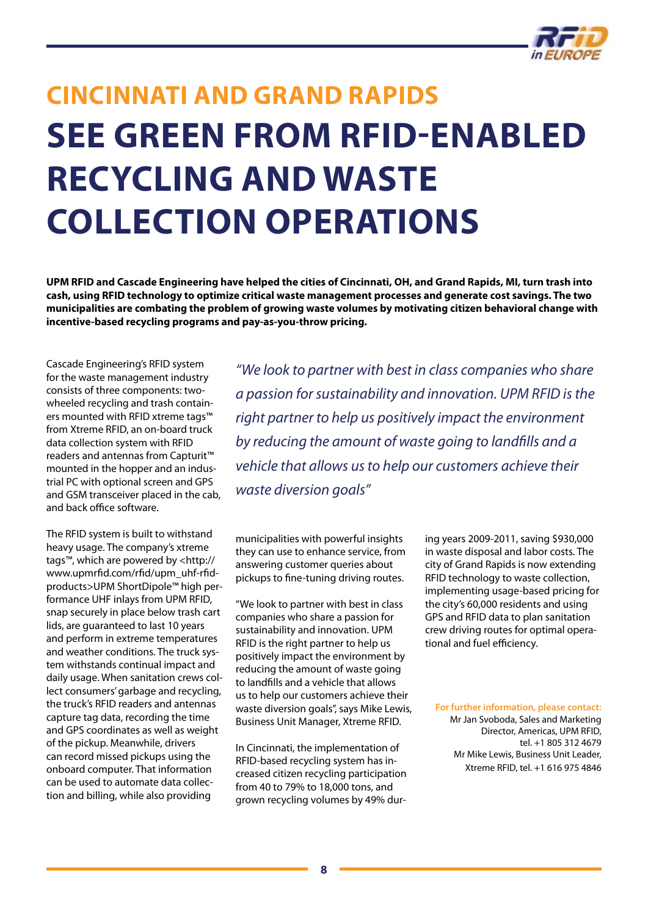

## <span id="page-7-0"></span>**Cincinnati and Grand Rapids see green from RFID-enabled recycling and waste collection operations**

**UPM RFID and Cascade Engineering have helped the cities of Cincinnati, OH, and Grand Rapids, MI, turn trash into cash, using RFID technology to optimize critical waste management processes and generate cost savings. The two municipalities are combating the problem of growing waste volumes by motivating citizen behavioral change with incentive-based recycling programs and pay-as-you-throw pricing.**

Cascade Engineering's RFID system for the waste management industry consists of three components: twowheeled recycling and trash containers mounted with RFID xtreme tags™ from Xtreme RFID, an on-board truck data collection system with RFID readers and antennas from Capturit™ mounted in the hopper and an industrial PC with optional screen and GPS and GSM transceiver placed in the cab, and back office software.

The RFID system is built to withstand heavy usage. The company's xtreme tags™, which are powered by <http:// www.upmrfid.com/rfid/upm\_uhf-rfidproducts>UPM ShortDipole™ high performance UHF inlays from UPM RFID, snap securely in place below trash cart lids, are guaranteed to last 10 years and perform in extreme temperatures and weather conditions. The truck system withstands continual impact and daily usage. When sanitation crews collect consumers' garbage and recycling, the truck's RFID readers and antennas capture tag data, recording the time and GPS coordinates as well as weight of the pickup. Meanwhile, drivers can record missed pickups using the onboard computer. That information can be used to automate data collection and billing, while also providing

*"We look to partner with best in class companies who share a passion for sustainability and innovation. UPM RFID is the right partner to help us positively impact the environment by reducing the amount of waste going to landfills and a vehicle that allows us to help our customers achieve their waste diversion goals"*

municipalities with powerful insights they can use to enhance service, from answering customer queries about pickups to fine-tuning driving routes.

"We look to partner with best in class companies who share a passion for sustainability and innovation. UPM RFID is the right partner to help us positively impact the environment by reducing the amount of waste going to landfills and a vehicle that allows us to help our customers achieve their waste diversion goals", says Mike Lewis, Business Unit Manager, Xtreme RFID.

In Cincinnati, the implementation of RFID-based recycling system has increased citizen recycling participation from 40 to 79% to 18,000 tons, and grown recycling volumes by 49% during years 2009-2011, saving \$930,000 in waste disposal and labor costs. The city of Grand Rapids is now extending RFID technology to waste collection, implementing usage-based pricing for the city's 60,000 residents and using GPS and RFID data to plan sanitation crew driving routes for optimal operational and fuel efficiency.

**For further information, please contact:**

Mr Jan Svoboda, Sales and Marketing Director, Americas, UPM RFID, tel. +1 805 312 4679 Mr Mike Lewis, Business Unit Leader, Xtreme RFID, tel. +1 616 975 4846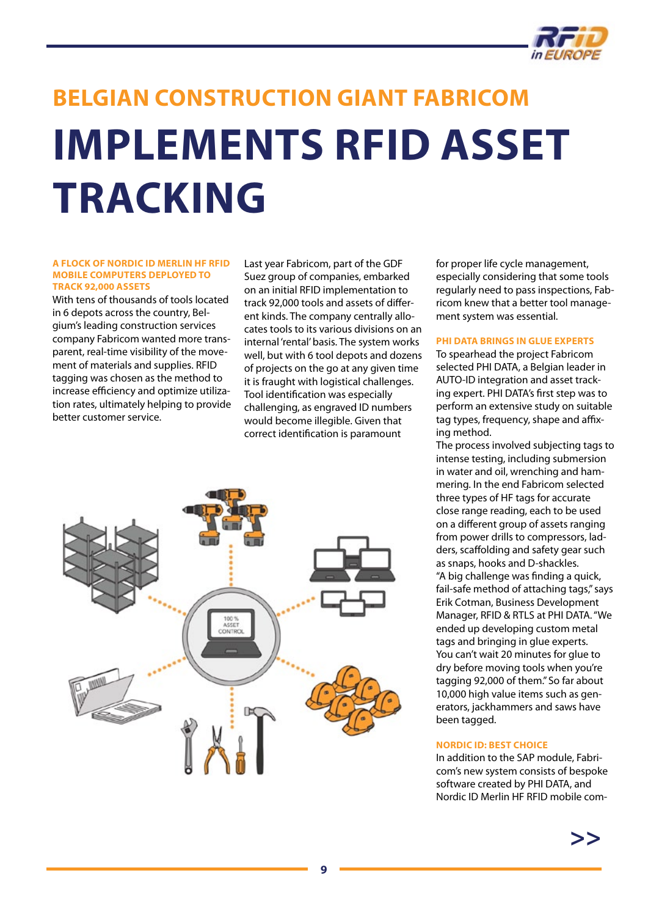

# <span id="page-8-0"></span>**BELGIAN CONSTRUCTION GIANT FABRICOM Implements RFID asset tracking**

#### **A FLOCK OF NORDIC ID MERLIN HF RFID MOBILE COMPUTERS DEPLOYED TO TRACK 92,000 ASSETS**

With tens of thousands of tools located in 6 depots across the country, Belgium's leading construction services company Fabricom wanted more transparent, real-time visibility of the movement of materials and supplies. RFID tagging was chosen as the method to increase efficiency and optimize utilization rates, ultimately helping to provide better customer service.

Last year Fabricom, part of the GDF Suez group of companies, embarked on an initial RFID implementation to track 92,000 tools and assets of different kinds. The company centrally allocates tools to its various divisions on an internal 'rental' basis. The system works well, but with 6 tool depots and dozens of projects on the go at any given time it is fraught with logistical challenges. Tool identification was especially challenging, as engraved ID numbers would become illegible. Given that correct identification is paramount



for proper life cycle management, especially considering that some tools regularly need to pass inspections, Fabricom knew that a better tool management system was essential.

### **PHI DATA BRINGS IN GLUE EXPERTS**

To spearhead the project Fabricom selected PHI DATA, a Belgian leader in AUTO-ID integration and asset tracking expert. PHI DATA's first step was to perform an extensive study on suitable tag types, frequency, shape and affixing method.

The process involved subjecting tags to intense testing, including submersion in water and oil, wrenching and hammering. In the end Fabricom selected three types of HF tags for accurate close range reading, each to be used on a different group of assets ranging from power drills to compressors, ladders, scaffolding and safety gear such as snaps, hooks and D-shackles. "A big challenge was finding a quick, fail-safe method of attaching tags," says Erik Cotman, Business Development Manager, RFID & RTLS at PHI DATA. "We ended up developing custom metal tags and bringing in glue experts. You can't wait 20 minutes for glue to dry before moving tools when you're tagging 92,000 of them." So far about 10,000 high value items such as generators, jackhammers and saws have been tagged.

### **NORDIC ID: BEST CHOICE**

In addition to the SAP module, Fabricom's new system consists of bespoke software created by PHI DATA, and Nordic ID Merlin HF RFID mobile com-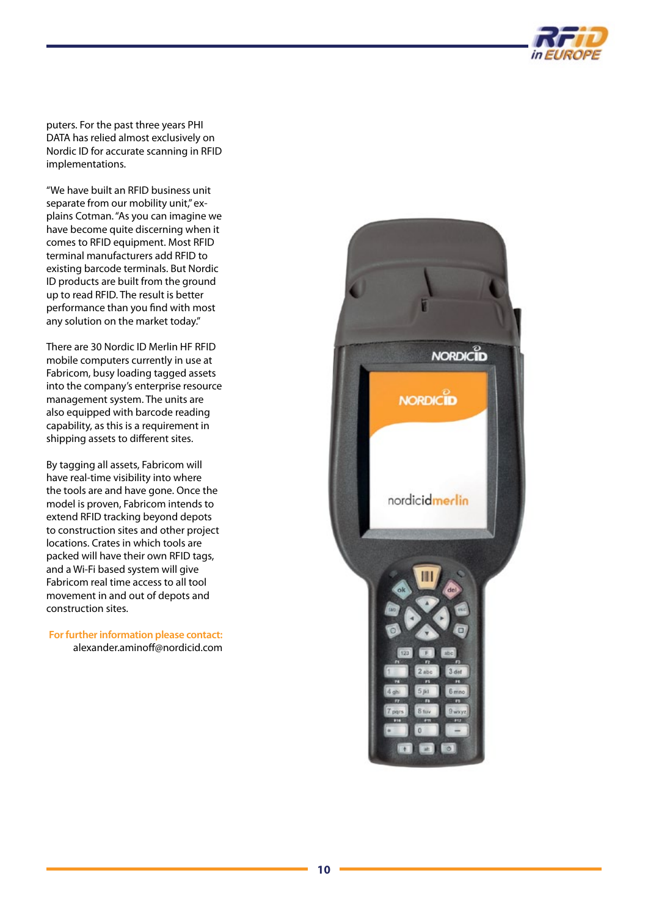

puters. For the past three years PHI DATA has relied almost exclusively on Nordic ID for accurate scanning in RFID implementations.

"We have built an RFID business unit separate from our mobility unit," explains Cotman. "As you can imagine we have become quite discerning when it comes to RFID equipment. Most RFID terminal manufacturers add RFID to existing barcode terminals. But Nordic ID products are built from the ground up to read RFID. The result is better performance than you find with most any solution on the market today."

There are 30 Nordic ID Merlin HF RFID mobile computers currently in use at Fabricom, busy loading tagged assets into the company's enterprise resource management system. The units are also equipped with barcode reading capability, as this is a requirement in shipping assets to different sites.

By tagging all assets, Fabricom will have real-time visibility into where the tools are and have gone. Once the model is proven, Fabricom intends to extend RFID tracking beyond depots to construction sites and other project locations. Crates in which tools are packed will have their own RFID tags, and a Wi-Fi based system will give Fabricom real time access to all tool movement in and out of depots and construction sites.

**For further information please contact:**  [alexander.aminoff@nordicid.com](mailto:alexander.aminoff@nordicid.com)

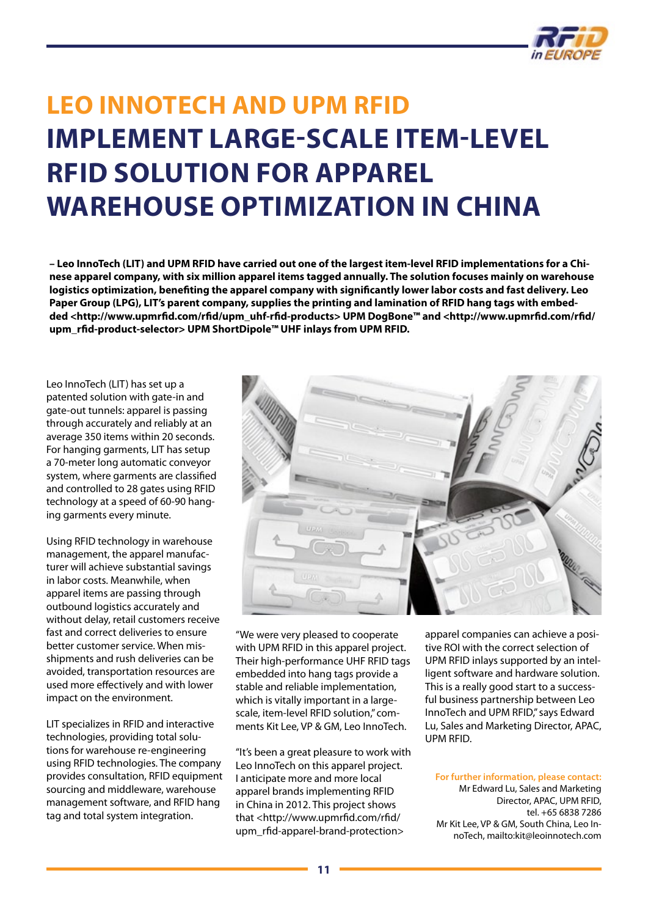

### <span id="page-10-0"></span>**Leo InnoTech and UPM RFID implement large-scale item-level RFID solution for apparel warehouse optimization in China**

**– Leo InnoTech (LIT) and UPM RFID have carried out one of the largest item-level RFID implementations for a Chinese apparel company, with six million apparel items tagged annually. The solution focuses mainly on warehouse logistics optimization, benefiting the apparel company with significantly lower labor costs and fast delivery. Leo Paper Group (LPG), LIT's parent company, supplies the printing and lamination of RFID hang tags with embedded <[http://www.upmrfid.com/rfid/upm\\_uhf-rfid-products](http://www.upmrfid.com/rfid/upm_uhf-rfid-products)> UPM DogBone™ and [<http://www.upmrfid.com/rfid/](http://www.upmrfid.com/rfid/upm_rfid-product-selector) [upm\\_rfid-product-selector](http://www.upmrfid.com/rfid/upm_rfid-product-selector)> UPM ShortDipole™ UHF inlays from UPM RFID.**

Leo InnoTech (LIT) has set up a patented solution with gate-in and gate-out tunnels: apparel is passing through accurately and reliably at an average 350 items within 20 seconds. For hanging garments, LIT has setup a 70-meter long automatic conveyor system, where garments are classified and controlled to 28 gates using RFID technology at a speed of 60-90 hanging garments every minute.

Using RFID technology in warehouse management, the apparel manufacturer will achieve substantial savings in labor costs. Meanwhile, when apparel items are passing through outbound logistics accurately and without delay, retail customers receive fast and correct deliveries to ensure better customer service. When misshipments and rush deliveries can be avoided, transportation resources are used more effectively and with lower impact on the environment.

LIT specializes in RFID and interactive technologies, providing total solutions for warehouse re-engineering using RFID technologies. The company provides consultation, RFID equipment sourcing and middleware, warehouse management software, and RFID hang tag and total system integration.



"We were very pleased to cooperate with UPM RFID in this apparel project. Their high-performance UHF RFID tags embedded into hang tags provide a stable and reliable implementation, which is vitally important in a largescale, item-level RFID solution," comments Kit Lee, VP & GM, Leo InnoTech.

"It's been a great pleasure to work with Leo InnoTech on this apparel project. I anticipate more and more local apparel brands implementing RFID in China in 2012. This project shows that <http://www.upmrfid.com/rfid/ upm\_rfid-apparel-brand-protection>

apparel companies can achieve a positive ROI with the correct selection of UPM RFID inlays supported by an intelligent software and hardware solution. This is a really good start to a successful business partnership between Leo InnoTech and UPM RFID," says Edward Lu, Sales and Marketing Director, APAC, UPM RFID.

### **For further information, please contact:**

Mr Edward Lu, Sales and Marketing Director, APAC, UPM RFID, tel. +65 6838 7286 Mr Kit Lee, VP & GM, South China, Leo InnoTech, <mailto:kit@leoinnotech.com>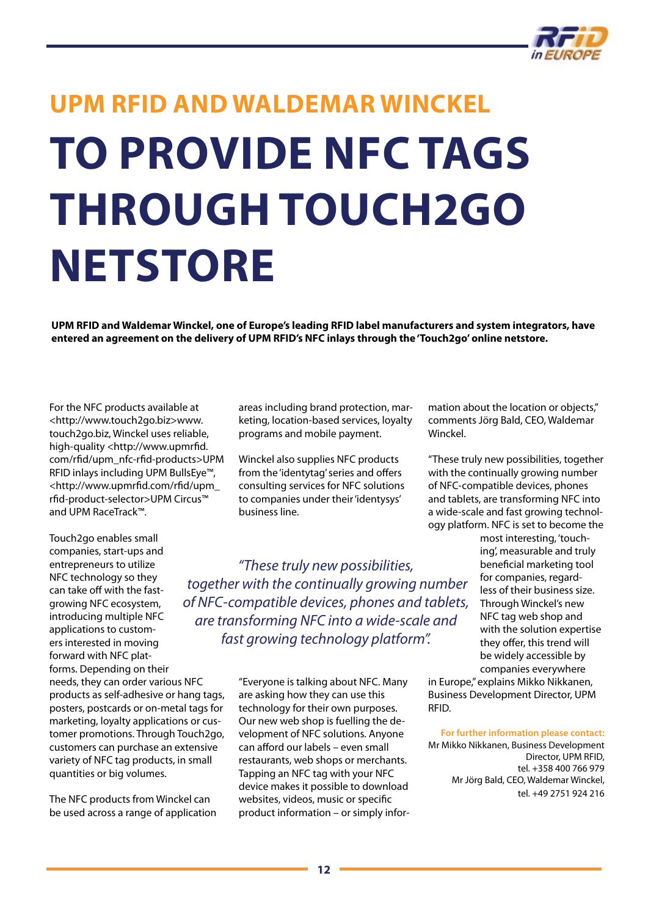

# <span id="page-11-0"></span>**UPM RFID and Waldemar Winckel to provide NFC tags through Touch2go netstore**

**UPM RFID and Waldemar Winckel, one of Europe's leading RFID label manufacturers and system integrators, have entered an agreement on the delivery of UPM RFID's NFC inlays through the 'Touch2go' online netstore.**

For the NFC products available at <http://www.touch2go.biz>www. touch2go.biz, Winckel uses reliable, high-quality [<http://www.upmrfid.](http://www.upmrfid.com/rfid/upm_nfc-rfid-products) [com/rfid/upm\\_nfc-rfid-products](http://www.upmrfid.com/rfid/upm_nfc-rfid-products)>UPM RFID inlays including UPM BullsEye™, [<http://www.upmrfid.com/rfid/upm\\_](http://www.upmrfid.com/rfid/upm_rfid-product-selector) [rfid-product-selector](http://www.upmrfid.com/rfid/upm_rfid-product-selector)>UPM Circus™ and UPM RaceTrack™.

Touch2go enables small companies, start-ups and entrepreneurs to utilize NFC technology so they can take off with the fastgrowing NFC ecosystem, introducing multiple NFC applications to customers interested in moving forward with NFC platforms. Depending on their needs, they can order various NFC products as self-adhesive or hang tags, posters, postcards or on-metal tags for marketing, loyalty applications or customer promotions. Through Touch2go, customers can purchase an extensive variety of NFC tag products, in small

The NFC products from Winckel can be used across a range of application

quantities or big volumes.

areas including brand protection, marketing, location-based services, loyalty programs and mobile payment.

Winckel also supplies NFC products from the 'identytag' series and offers consulting services for NFC solutions to companies under their 'identysys' business line.

*"These truly new possibilities, together with the continually growing number of NFC-compatible devices, phones and tablets, are transforming NFC into a wide-scale and fast growing technology platform".*

> "Everyone is talking about NFC. Many are asking how they can use this technology for their own purposes. Our new web shop is fuelling the development of NFC solutions. Anyone can afford our labels – even small restaurants, web shops or merchants. Tapping an NFC tag with your NFC device makes it possible to download websites, videos, music or specific product information – or simply infor

mation about the location or objects," comments Jörg Bald, CEO, Waldemar Winckel.

"These truly new possibilities, together with the continually growing number of NFC-compatible devices, phones and tablets, are transforming NFC into a wide-scale and fast growing technology platform. NFC is set to become the

> most interesting, 'touching', measurable and truly beneficial marketing tool for companies, regardless of their business size. Through Winckel's new NFC tag web shop and with the solution expertise they offer, this trend will be widely accessible by companies everywhere

in Europe," explains Mikko Nikkanen, Business Development Director, UPM RFID.

**For further information please contact:**

Mr Mikko Nikkanen, Business Development Director, UPM RFID, tel. +358 400 766 979 Mr Jörg Bald, CEO, Waldemar Winckel, tel. +49 2751 924 216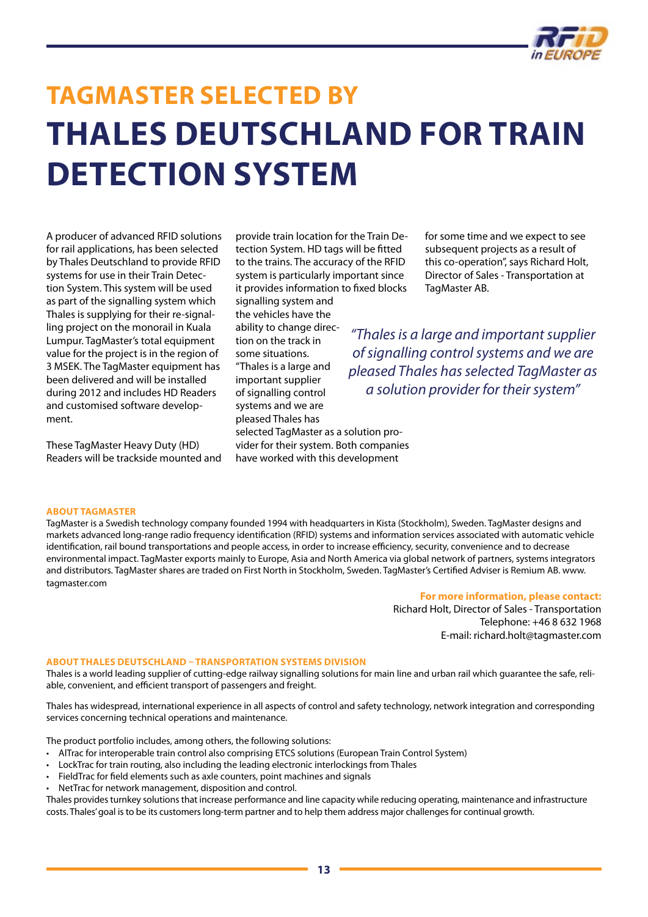

## <span id="page-12-0"></span>**TagMaster Selected by Thales Deutschland for Train Detection System**

A producer of advanced RFID solutions for rail applications, has been selected by Thales Deutschland to provide RFID systems for use in their Train Detection System. This system will be used as part of the signalling system which Thales is supplying for their re-signalling project on the monorail in Kuala Lumpur. TagMaster's total equipment value for the project is in the region of 3 MSEK. The TagMaster equipment has been delivered and will be installed during 2012 and includes HD Readers and customised software development.

These TagMaster Heavy Duty (HD) Readers will be trackside mounted and provide train location for the Train Detection System. HD tags will be fitted to the trains. The accuracy of the RFID system is particularly important since it provides information to fixed blocks signalling system and the vehicles have the ability to change direction on the track in some situations. "Thales is a large and important supplier of signalling control systems and we are pleased Thales has selected TagMaster as a solution provider for their system. Both companies have worked with this development

for some time and we expect to see subsequent projects as a result of this co-operation", says Richard Holt, Director of Sales - Transportation at TagMaster AB.

*"Thales is a large and important supplier of signalling control systems and we are pleased Thales has selected TagMaster as a solution provider for their system"*

### **About TagMaster**

TagMaster is a Swedish technology company founded 1994 with headquarters in Kista (Stockholm), Sweden. TagMaster designs and markets advanced long-range radio frequency identification (RFID) systems and information services associated with automatic vehicle identification, rail bound transportations and people access, in order to increase efficiency, security, convenience and to decrease environmental impact. TagMaster exports mainly to Europe, Asia and North America via global network of partners, systems integrators and distributors. TagMaster shares are traded on First North in Stockholm, Sweden. TagMaster's Certified Adviser is Remium AB. [www.](http://www.tagmaster.com) [tagmaster.com](http://www.tagmaster.com)

#### **For more information, please contact:**

Richard Holt, Director of Sales - Transportation Telephone: +46 8 632 1968 E-mail: [richard.holt@tagmaster.com](mailto:richard.holt@tagmaster.com)

#### **About Thales Deutschland – Transportation Systems Division**

Thales is a world leading supplier of cutting-edge railway signalling solutions for main line and urban rail which guarantee the safe, reliable, convenient, and efficient transport of passengers and freight.

Thales has widespread, international experience in all aspects of control and safety technology, network integration and corresponding services concerning technical operations and maintenance.

The product portfolio includes, among others, the following solutions:

- AlTrac for interoperable train control also comprising ETCS solutions (European Train Control System)
- LockTrac for train routing, also including the leading electronic interlockings from Thales
- FieldTrac for field elements such as axle counters, point machines and signals
- NetTrac for network management, disposition and control.

Thales provides turnkey solutions that increase performance and line capacity while reducing operating, maintenance and infrastructure costs. Thales' goal is to be its customers long-term partner and to help them address major challenges for continual growth.